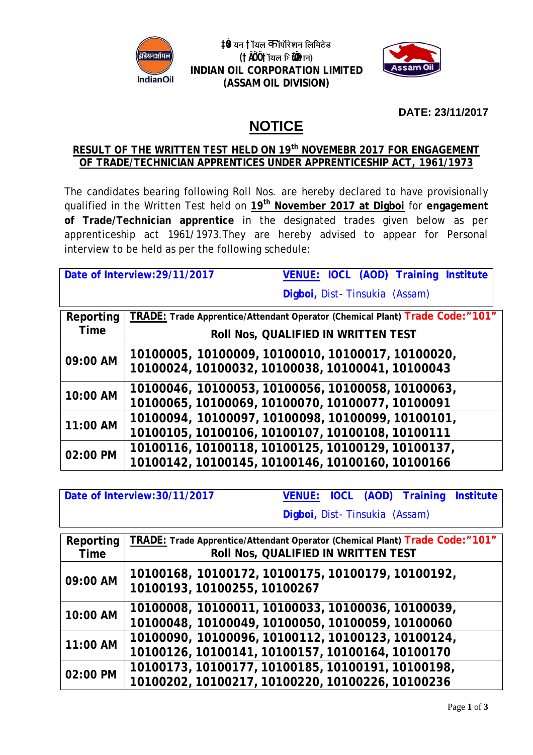

 $\sharp$ ∲ यन †ॉयल कीॅपॉरेशन लिमिटेड **(†ÃÖ´Ö †ÖòµÖ»Ö ×›ü¾Öß•ÖÖ) INDIAN OIL CORPORATION LIMITED (ASSAM OIL DIVISION)**



**DATE: 23/11/2017**

# **NOTICE**

## **RESULT OF THE WRITTEN TEST HELD ON 19 th NOVEMEBR 2017 FOR ENGAGEMENT OF TRADE/TECHNICIAN APPRENTICES UNDER APPRENTICESHIP ACT, 1961/1973**

The candidates bearing following Roll Nos. are hereby declared to have provisionally qualified in the Written Test held on **19 th November 2017 at Digboi** for **engagement of Trade/Technician apprentice** in the designated trades given below as per apprenticeship act 1961/1973.They are hereby advised to appear for Personal interview to be held as per the following schedule:

|             | <b>VENUE: IOCL (AOD) Training Institute</b><br>Date of Interview: 29/11/2017                          |
|-------------|-------------------------------------------------------------------------------------------------------|
|             | Digboi, Dist-Tinsukia (Assam)                                                                         |
| Reporting   | TRADE: Trade Apprentice/Attendant Operator (Chemical Plant) Trade Code:"101"                          |
| <b>Time</b> | <b>ROII NOS, QUALIFIED IN WRITTEN TEST</b>                                                            |
| 09:00 AM    | 10100005, 10100009, 10100010, 10100017, 10100020,<br>10100024, 10100032, 10100038, 10100041, 10100043 |
| 10:00 AM    | 10100046, 10100053, 10100056, 10100058, 10100063,<br>10100065, 10100069, 10100070, 10100077, 10100091 |
| 11:00 AM    | 10100094, 10100097, 10100098, 10100099, 10100101,<br>10100105, 10100106, 10100107, 10100108, 10100111 |
| 02:00 PM    | 10100116, 10100118, 10100125, 10100129, 10100137,<br>10100142, 10100145, 10100146, 10100160, 10100166 |

| Date of Interview: 30/11/2017 |                                                                                                                     |                               |  | <b>VENUE: IOCL (AOD) Training Institute</b> |  |
|-------------------------------|---------------------------------------------------------------------------------------------------------------------|-------------------------------|--|---------------------------------------------|--|
|                               |                                                                                                                     | Digboi, Dist-Tinsukia (Assam) |  |                                             |  |
| Reporting<br><b>Time</b>      | TRADE: Trade Apprentice/Attendant Operator (Chemical Plant) Trade Code:"101"<br>Roll Nos, QUALIFIED IN WRITTEN TEST |                               |  |                                             |  |
| 09:00 AM                      | 10100168, 10100172, 10100175, 10100179, 10100192,<br>10100193, 10100255, 10100267                                   |                               |  |                                             |  |
| 10:00 AM                      | 10100008, 10100011, 10100033, 10100036, 10100039,<br>10100048, 10100049, 10100050, 10100059, 10100060               |                               |  |                                             |  |
| 11:00 AM                      | 10100090, 10100096, 10100112, 10100123, 10100124,<br>10100126, 10100141, 10100157, 10100164, 10100170               |                               |  |                                             |  |
| 02:00 PM                      | 10100173, 10100177, 10100185, 10100191, 10100198,<br>10100202, 10100217, 10100220, 10100226, 10100236               |                               |  |                                             |  |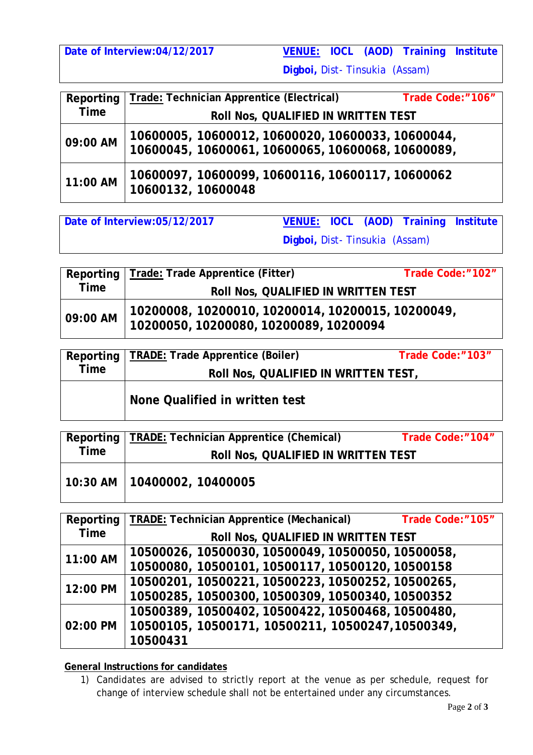**Date of Interview:04/12/2017 VENUE: IOCL (AOD) Training Institute** 

**Digboi,** Dist- Tinsukia (Assam)

| Reporting   | Trade: Technician Apprentice (Electrical)                                                              | Trade Code:"106" |
|-------------|--------------------------------------------------------------------------------------------------------|------------------|
| <b>Time</b> | Roll Nos, QUALIFIED IN WRITTEN TEST                                                                    |                  |
| 09:00 AM    | 10600005, 10600012, 10600020, 10600033, 10600044,<br>10600045, 10600061, 10600065, 10600068, 10600089, |                  |
| 11:00 AM    | 10600097, 10600099, 10600116, 10600117, 10600062<br>10600132, 10600048                                 |                  |

**Date of Interview:05/12/2017 VENUE: IOCL (AOD) Training Institute Digboi,** Dist- Tinsukia (Assam)

|             | Reporting   Trade: Trade Apprentice (Fitter)                                                | Trade Code:"102" |  |
|-------------|---------------------------------------------------------------------------------------------|------------------|--|
| <b>Time</b> | <b>ROII NOS, QUALIFIED IN WRITTEN TEST</b>                                                  |                  |  |
| 09:00 AM    | 10200008, 10200010, 10200014, 10200015, 10200049,<br>10200050, 10200080, 10200089, 10200094 |                  |  |

| Reporting   | TRADE: Trade Apprentice (Boiler)     | Trade Code:"103" |  |
|-------------|--------------------------------------|------------------|--|
| <b>Time</b> | Roll Nos, QUALIFIED IN WRITTEN TEST, |                  |  |
|             | None Qualified in written test       |                  |  |

| Reporting   | TRADE: Technician Apprentice (Chemical)    | Trade Code:"104" |  |
|-------------|--------------------------------------------|------------------|--|
| <b>Time</b> | <b>ROII NOS, QUALIFIED IN WRITTEN TEST</b> |                  |  |
|             | 10:30 AM   10400002, 10400005              |                  |  |

|             | Reporting   TRADE: Technician Apprentice (Mechanical) | Trade Code:"105" |  |  |
|-------------|-------------------------------------------------------|------------------|--|--|
| <b>Time</b> | Roll Nos, QUALIFIED IN WRITTEN TEST                   |                  |  |  |
| 11:00 AM    | 10500026, 10500030, 10500049, 10500050, 10500058,     |                  |  |  |
|             | 10500080, 10500101, 10500117, 10500120, 10500158      |                  |  |  |
| 12:00 PM    | 10500201, 10500221, 10500223, 10500252, 10500265,     |                  |  |  |
|             | 10500285, 10500300, 10500309, 10500340, 10500352      |                  |  |  |
| 02:00 PM    | 10500389, 10500402, 10500422, 10500468, 10500480,     |                  |  |  |
|             | 10500105, 10500171, 10500211, 10500247,10500349,      |                  |  |  |
|             | 10500431                                              |                  |  |  |

## **General Instructions for candidates**

1) Candidates are advised to strictly report at the venue as per schedule, request for change of interview schedule shall not be entertained under any circumstances.